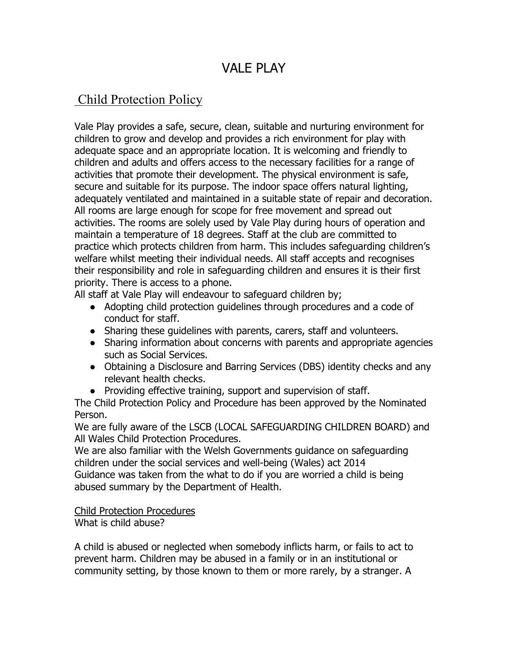# VALE PLAY

# Child Protection Policy

Vale Play provides a safe, secure, clean, suitable and nurturing environment for children to grow and develop and provides a rich environment for play with adequate space and an appropriate location. It is welcoming and friendly to children and adults and offers access to the necessary facilities for a range of activities that promote their development. The physical environment is safe, secure and suitable for its purpose. The indoor space offers natural lighting, adequately ventilated and maintained in a suitable state of repair and decoration. All rooms are large enough for scope for free movement and spread out activities. The rooms are solely used by Vale Play during hours of operation and maintain a temperature of 18 degrees. Staff at the club are committed to practice which protects children from harm. This includes safeguarding children's welfare whilst meeting their individual needs. All staff accepts and recognises their responsibility and role in safeguarding children and ensures it is their first priority. There is access to a phone.

All staff at Vale Play will endeavour to safeguard children by;

- Adopting child protection guidelines through procedures and a code of conduct for staff.
- Sharing these guidelines with parents, carers, staff and volunteers.
- Sharing information about concerns with parents and appropriate agencies such as Social Services.
- Obtaining a Disclosure and Barring Services (DBS) identity checks and any relevant health checks.
- Providing effective training, support and supervision of staff.

The Child Protection Policy and Procedure has been approved by the Nominated Person.

We are fully aware of the LSCB (LOCAL SAFEGUARDING CHILDREN BOARD) and All Wales Child Protection Procedures.

We are also familiar with the Welsh Governments guidance on safeguarding children under the social services and well-being (Wales) act 2014 Guidance was taken from the what to do if you are worried a child is being abused summary by the Department of Health.

Child Protection Procedures

What is child abuse?

A child is abused or neglected when somebody inflicts harm, or fails to act to prevent harm. Children may be abused in a family or in an institutional or community setting, by those known to them or more rarely, by a stranger. A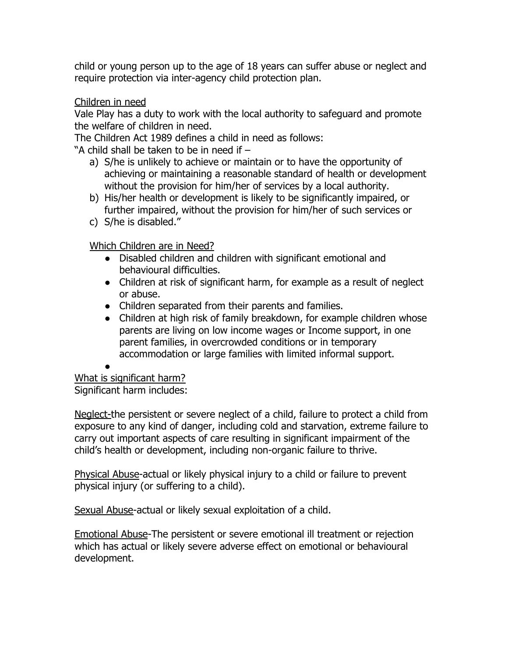child or young person up to the age of 18 years can suffer abuse or neglect and require protection via inter-agency child protection plan.

### Children in need

Vale Play has a duty to work with the local authority to safeguard and promote the welfare of children in need.

The Children Act 1989 defines a child in need as follows:

"A child shall be taken to be in need if –

- a) S/he is unlikely to achieve or maintain or to have the opportunity of achieving or maintaining a reasonable standard of health or development without the provision for him/her of services by a local authority.
- b) His/her health or development is likely to be significantly impaired, or further impaired, without the provision for him/her of such services or
- c) S/he is disabled."

Which Children are in Need?

- Disabled children and children with significant emotional and behavioural difficulties.
- Children at risk of significant harm, for example as a result of neglect or abuse.
- Children separated from their parents and families.
- Children at high risk of family breakdown, for example children whose parents are living on low income wages or Income support, in one parent families, in overcrowded conditions or in temporary accommodation or large families with limited informal support.

#### ●

What is significant harm? Significant harm includes:

Neglect-the persistent or severe neglect of a child, failure to protect a child from exposure to any kind of danger, including cold and starvation, extreme failure to carry out important aspects of care resulting in significant impairment of the child's health or development, including non-organic failure to thrive.

Physical Abuse-actual or likely physical injury to a child or failure to prevent physical injury (or suffering to a child).

Sexual Abuse-actual or likely sexual exploitation of a child.

Emotional Abuse-The persistent or severe emotional ill treatment or rejection which has actual or likely severe adverse effect on emotional or behavioural development.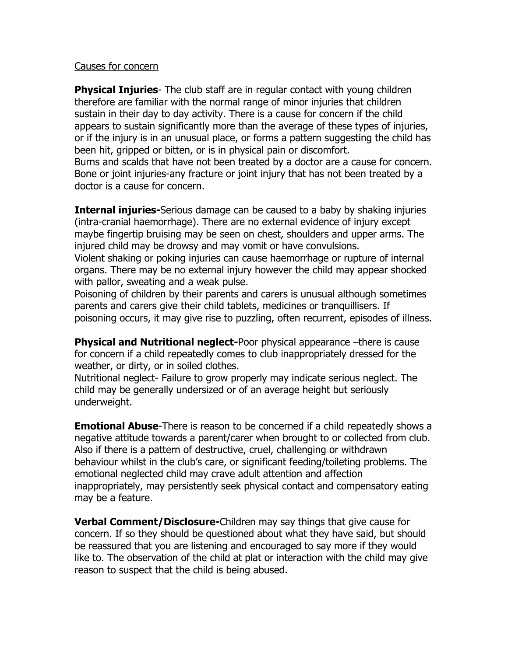#### Causes for concern

**Physical Injuries**- The club staff are in regular contact with young children therefore are familiar with the normal range of minor injuries that children sustain in their day to day activity. There is a cause for concern if the child appears to sustain significantly more than the average of these types of injuries, or if the injury is in an unusual place, or forms a pattern suggesting the child has been hit, gripped or bitten, or is in physical pain or discomfort. Burns and scalds that have not been treated by a doctor are a cause for concern. Bone or joint injuries-any fracture or joint injury that has not been treated by a doctor is a cause for concern.

**Internal injuries-**Serious damage can be caused to a baby by shaking injuries (intra-cranial haemorrhage). There are no external evidence of injury except maybe fingertip bruising may be seen on chest, shoulders and upper arms. The injured child may be drowsy and may vomit or have convulsions.

Violent shaking or poking injuries can cause haemorrhage or rupture of internal organs. There may be no external injury however the child may appear shocked with pallor, sweating and a weak pulse.

Poisoning of children by their parents and carers is unusual although sometimes parents and carers give their child tablets, medicines or tranquillisers. If poisoning occurs, it may give rise to puzzling, often recurrent, episodes of illness.

**Physical and Nutritional neglect-Poor physical appearance –there is cause** for concern if a child repeatedly comes to club inappropriately dressed for the weather, or dirty, or in soiled clothes.

Nutritional neglect- Failure to grow properly may indicate serious neglect. The child may be generally undersized or of an average height but seriously underweight.

**Emotional Abuse**-There is reason to be concerned if a child repeatedly shows a negative attitude towards a parent/carer when brought to or collected from club. Also if there is a pattern of destructive, cruel, challenging or withdrawn behaviour whilst in the club's care, or significant feeding/toileting problems. The emotional neglected child may crave adult attention and affection inappropriately, may persistently seek physical contact and compensatory eating may be a feature.

**Verbal Comment/Disclosure-**Children may say things that give cause for concern. If so they should be questioned about what they have said, but should be reassured that you are listening and encouraged to say more if they would like to. The observation of the child at plat or interaction with the child may give reason to suspect that the child is being abused.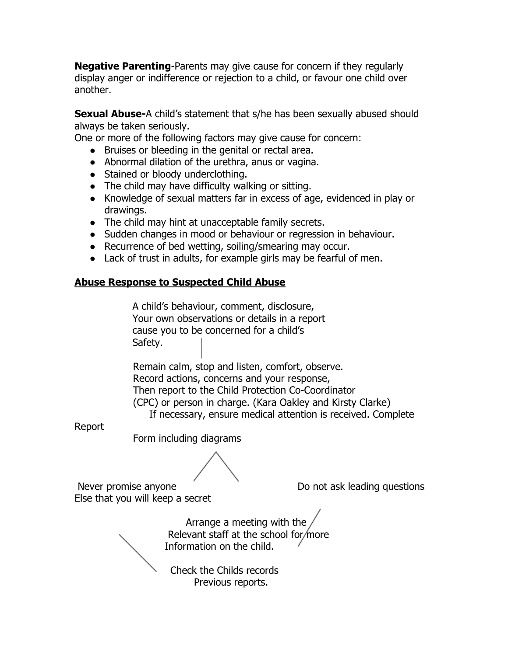**Negative Parenting**-Parents may give cause for concern if they regularly display anger or indifference or rejection to a child, or favour one child over another.

**Sexual Abuse-**A child's statement that s/he has been sexually abused should always be taken seriously.

One or more of the following factors may give cause for concern:

- Bruises or bleeding in the genital or rectal area.
- Abnormal dilation of the urethra, anus or vagina.
- Stained or bloody underclothing.
- The child may have difficulty walking or sitting.
- Knowledge of sexual matters far in excess of age, evidenced in play or drawings.
- The child may hint at unacceptable family secrets.
- Sudden changes in mood or behaviour or regression in behaviour.
- Recurrence of bed wetting, soiling/smearing may occur.
- Lack of trust in adults, for example girls may be fearful of men.

#### **Abuse Response to Suspected Child Abuse**

A child's behaviour, comment, disclosure, Your own observations or details in a report cause you to be concerned for a child's Safety.

Remain calm, stop and listen, comfort, observe. Record actions, concerns and your response, Then report to the Child Protection Co-Coordinator (CPC) or person in charge. (Kara Oakley and Kirsty Clarke) If necessary, ensure medical attention is received. Complete

Report

Form including diagrams

Else that you will keep a secret

Never promise anyone Do not ask leading questions

Arrange a meeting with the Relevant staff at the school for more Information on the child.

Check the Childs records Previous reports.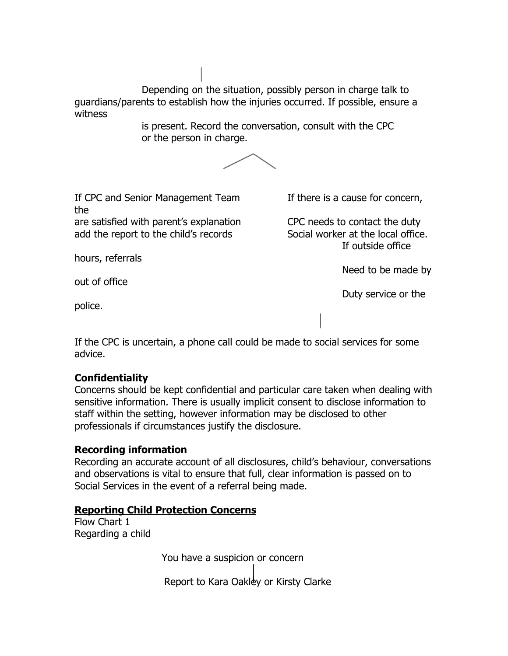Depending on the situation, possibly person in charge talk to guardians/parents to establish how the injuries occurred. If possible, ensure a witness

> is present. Record the conversation, consult with the CPC or the person in charge.



If CPC and Senior Management Team If there is a cause for concern, the are satisfied with parent's explanation CPC needs to contact the duty

add the report to the child's records Social worker at the local office.

hours, referrals

If outside office

Need to be made by

Duty service or the

out of office

police.

If the CPC is uncertain, a phone call could be made to social services for some advice.

## **Confidentiality**

Concerns should be kept confidential and particular care taken when dealing with sensitive information. There is usually implicit consent to disclose information to staff within the setting, however information may be disclosed to other professionals if circumstances justify the disclosure.

### **Recording information**

Recording an accurate account of all disclosures, child's behaviour, conversations and observations is vital to ensure that full, clear information is passed on to Social Services in the event of a referral being made.

### **Reporting Child Protection Concerns**

Flow Chart 1 Regarding a child

You have a suspicion or concern

Report to Kara Oakley or Kirsty Clarke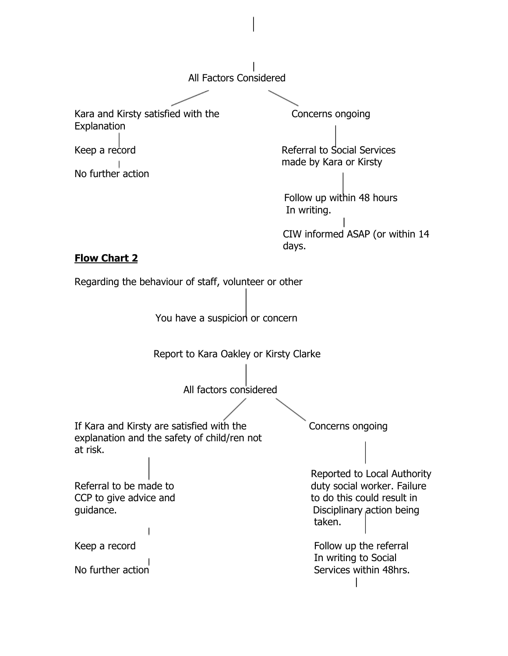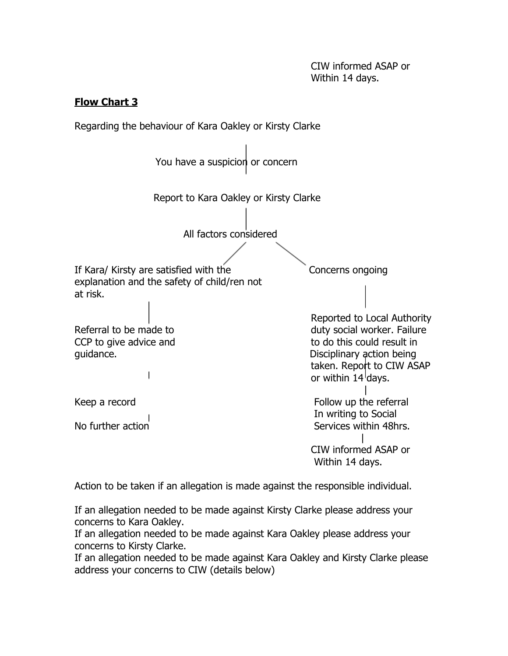## **Flow Chart 3**



Action to be taken if an allegation is made against the responsible individual.

If an allegation needed to be made against Kirsty Clarke please address your concerns to Kara Oakley.

If an allegation needed to be made against Kara Oakley please address your concerns to Kirsty Clarke.

If an allegation needed to be made against Kara Oakley and Kirsty Clarke please address your concerns to CIW (details below)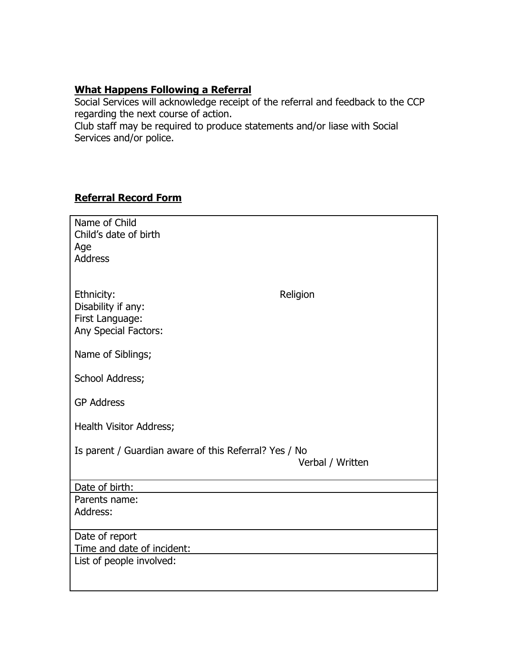# **What Happens Following a Referral**

Social Services will acknowledge receipt of the referral and feedback to the CCP regarding the next course of action.

Club staff may be required to produce statements and/or liase with Social Services and/or police.

## **Referral Record Form**

| Name of Child                                         |                  |
|-------------------------------------------------------|------------------|
| Child's date of birth                                 |                  |
| Age                                                   |                  |
| <b>Address</b>                                        |                  |
|                                                       |                  |
|                                                       |                  |
|                                                       |                  |
| Ethnicity:                                            | Religion         |
| Disability if any:                                    |                  |
| First Language:                                       |                  |
| Any Special Factors:                                  |                  |
|                                                       |                  |
| Name of Siblings;                                     |                  |
|                                                       |                  |
| School Address;                                       |                  |
|                                                       |                  |
| <b>GP Address</b>                                     |                  |
|                                                       |                  |
| Health Visitor Address;                               |                  |
|                                                       |                  |
|                                                       |                  |
| Is parent / Guardian aware of this Referral? Yes / No |                  |
|                                                       | Verbal / Written |
|                                                       |                  |
| Date of birth:                                        |                  |
| Parents name:                                         |                  |
| Address:                                              |                  |
|                                                       |                  |
| Date of report                                        |                  |
| Time and date of incident:                            |                  |
|                                                       |                  |
| List of people involved:                              |                  |
|                                                       |                  |
|                                                       |                  |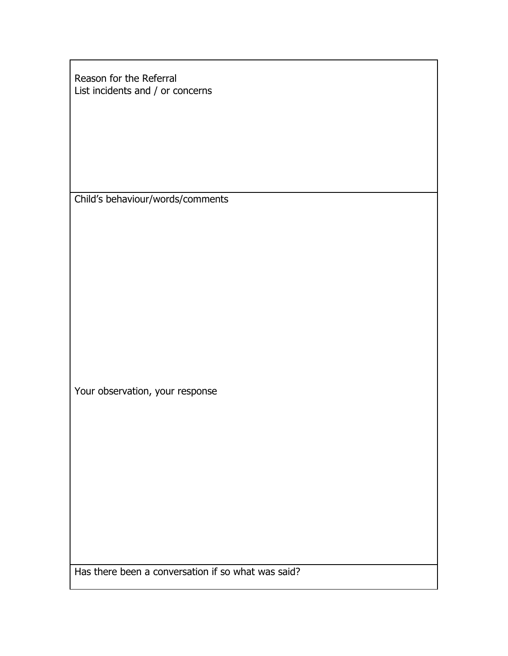Reason for the Referral List incidents and / or concerns

Child's behaviour/words/comments

Your observation, your response

Has there been a conversation if so what was said?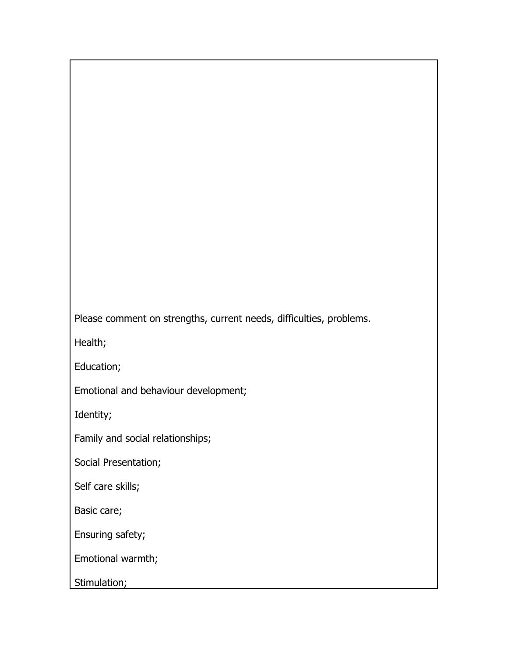Please comment on strengths, current needs, difficulties, problems.

Health;

Education;

Emotional and behaviour development;

Identity;

Family and social relationships;

Social Presentation;

Self care skills;

Basic care;

Ensuring safety;

Emotional warmth;

Stimulation;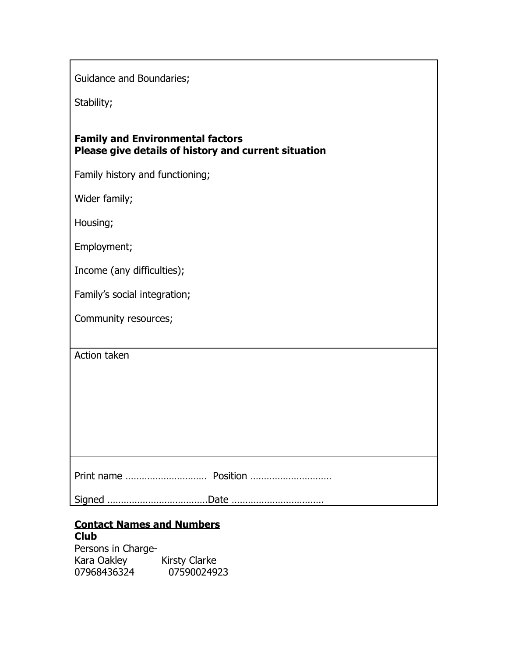Guidance and Boundaries;

Stability;

| <b>Family and Environmental factors</b>              |  |
|------------------------------------------------------|--|
| Please give details of history and current situation |  |

Family history and functioning;

Wider family;

Housing;

Employment;

Income (any difficulties);

Family's social integration;

Community resources;

Action taken

|--|

Signed ……………………………….Date …………………………….

#### **Contact Names and Numbers Club**

Persons in Charge-Kara Oakley Kirsty Clarke 07968436324 07590024923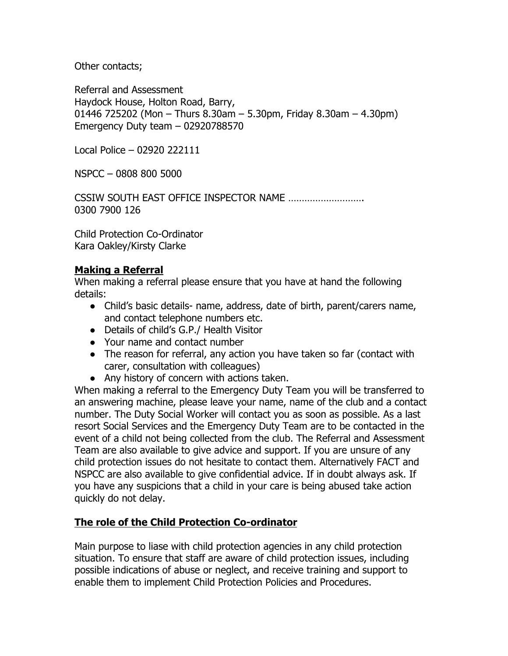Other contacts;

Referral and Assessment Haydock House, Holton Road, Barry, 01446 725202 (Mon – Thurs 8.30am – 5.30pm, Friday 8.30am – 4.30pm) Emergency Duty team – 02920788570

Local Police – 02920 222111

NSPCC – 0808 800 5000

CSSIW SOUTH EAST OFFICE INSPECTOR NAME ………………………. 0300 7900 126

Child Protection Co-Ordinator Kara Oakley/Kirsty Clarke

### **Making a Referral**

When making a referral please ensure that you have at hand the following details:

- Child's basic details- name, address, date of birth, parent/carers name, and contact telephone numbers etc.
- Details of child's G.P./ Health Visitor
- Your name and contact number
- The reason for referral, any action you have taken so far (contact with carer, consultation with colleagues)
- Any history of concern with actions taken.

When making a referral to the Emergency Duty Team you will be transferred to an answering machine, please leave your name, name of the club and a contact number. The Duty Social Worker will contact you as soon as possible. As a last resort Social Services and the Emergency Duty Team are to be contacted in the event of a child not being collected from the club. The Referral and Assessment Team are also available to give advice and support. If you are unsure of any child protection issues do not hesitate to contact them. Alternatively FACT and NSPCC are also available to give confidential advice. If in doubt always ask. If you have any suspicions that a child in your care is being abused take action quickly do not delay.

#### **The role of the Child Protection Co-ordinator**

Main purpose to liase with child protection agencies in any child protection situation. To ensure that staff are aware of child protection issues, including possible indications of abuse or neglect, and receive training and support to enable them to implement Child Protection Policies and Procedures.